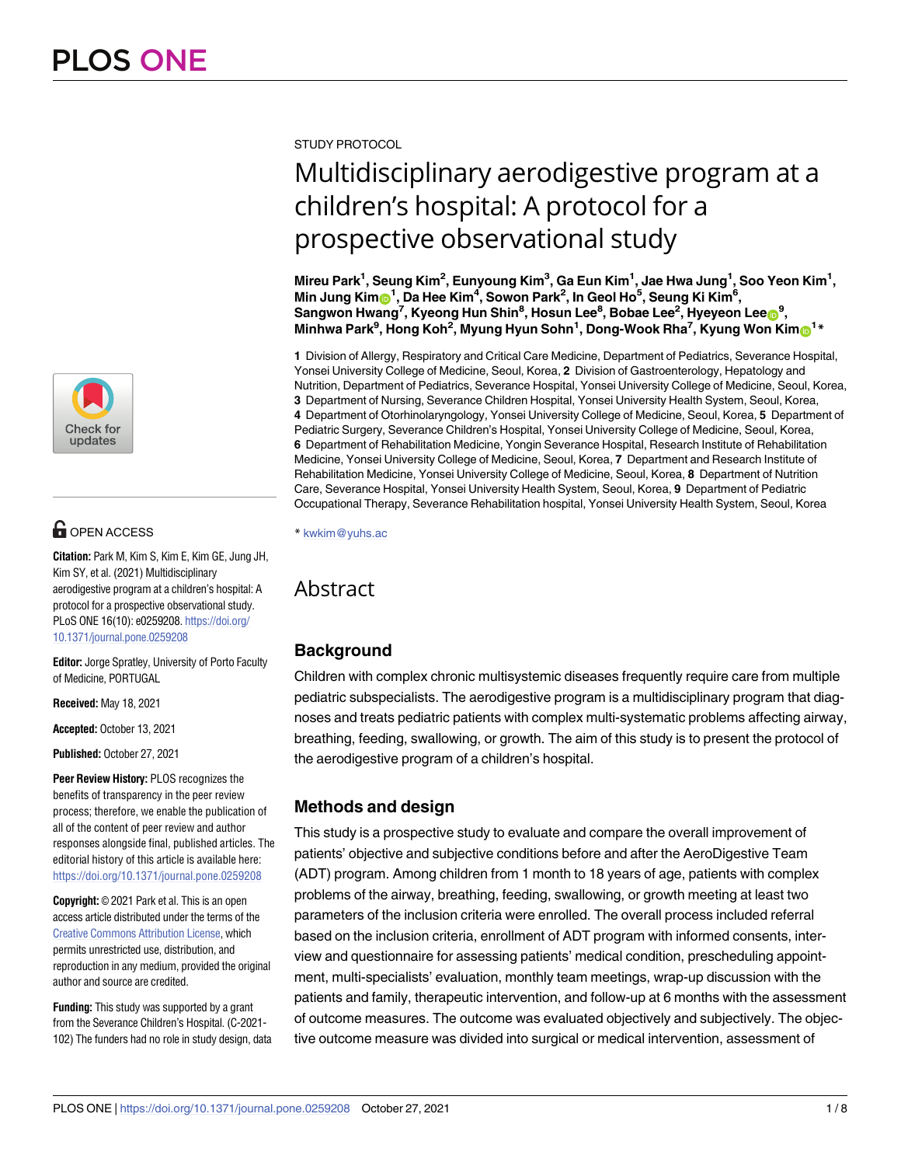

# $\blacksquare$  OPEN ACCESS

**Citation:** Park M, Kim S, Kim E, Kim GE, Jung JH, Kim SY, et al. (2021) Multidisciplinary aerodigestive program at a children's hospital: A protocol for a prospective observational study. PLoS ONE 16(10): e0259208. [https://doi.org/](https://doi.org/10.1371/journal.pone.0259208) [10.1371/journal.pone.0259208](https://doi.org/10.1371/journal.pone.0259208)

**Editor:** Jorge Spratley, University of Porto Faculty of Medicine, PORTUGAL

**Received:** May 18, 2021

**Accepted:** October 13, 2021

**Published:** October 27, 2021

**Peer Review History:** PLOS recognizes the benefits of transparency in the peer review process; therefore, we enable the publication of all of the content of peer review and author responses alongside final, published articles. The editorial history of this article is available here: <https://doi.org/10.1371/journal.pone.0259208>

**Copyright:** © 2021 Park et al. This is an open access article distributed under the terms of the Creative Commons [Attribution](http://creativecommons.org/licenses/by/4.0/) License, which permits unrestricted use, distribution, and reproduction in any medium, provided the original author and source are credited.

**Funding:** This study was supported by a grant from the Severance Children's Hospital. (C-2021- 102) The funders had no role in study design, data STUDY PROTOCOL

# Multidisciplinary aerodigestive program at a children's hospital: A protocol for a prospective observational study

Mireu Park<sup>1</sup>, Seung Kim<sup>2</sup>, Eunyoung Kim<sup>3</sup>, Ga Eun Kim<sup>1</sup>, Jae Hwa Jung<sup>1</sup>, Soo Yeon Kim<sup>1</sup>,  $\blacksquare$ Min Jung  $\mathsf{Kim}$   $\mathsf{E}^{\mathsf{I}}$ ,  $\mathsf{D}$ a Hee  $\mathsf{Kim}^{\mathsf{4}}, \mathsf{Sowon}$  Park $^{\mathsf{2}},$  In Geol Ho $^{\mathsf{5}}, \mathsf{Seung}$  Ki $\mathsf{Kim}^{\mathsf{6}},$  $\mathbf{S}$ angwon <code>Hwang<sup>7</sup>, Kyeong Hun Shin $^8$ , Hosun Lee $^8$ , Bobae Lee $^2$ , Hyeyeon Lee $\mathbf{O}^9$ ,</code> **Minhwa Park9 , Hong Koh2 , Myung Hyun Sohn1 , Dong-Wook Rha7 , Kyung Won Kim[ID1](https://orcid.org/0000-0003-4529-6135) \***

**1** Division of Allergy, Respiratory and Critical Care Medicine, Department of Pediatrics, Severance Hospital, Yonsei University College of Medicine, Seoul, Korea, **2** Division of Gastroenterology, Hepatology and Nutrition, Department of Pediatrics, Severance Hospital, Yonsei University College of Medicine, Seoul, Korea, **3** Department of Nursing, Severance Children Hospital, Yonsei University Health System, Seoul, Korea, **4** Department of Otorhinolaryngology, Yonsei University College of Medicine, Seoul, Korea, **5** Department of Pediatric Surgery, Severance Children's Hospital, Yonsei University College of Medicine, Seoul, Korea, **6** Department of Rehabilitation Medicine, Yongin Severance Hospital, Research Institute of Rehabilitation Medicine, Yonsei University College of Medicine, Seoul, Korea, **7** Department and Research Institute of Rehabilitation Medicine, Yonsei University College of Medicine, Seoul, Korea, **8** Department of Nutrition Care, Severance Hospital, Yonsei University Health System, Seoul, Korea, **9** Department of Pediatric Occupational Therapy, Severance Rehabilitation hospital, Yonsei University Health System, Seoul, Korea

\* kwkim@yuhs.ac

## Abstract

## **Background**

Children with complex chronic multisystemic diseases frequently require care from multiple pediatric subspecialists. The aerodigestive program is a multidisciplinary program that diagnoses and treats pediatric patients with complex multi-systematic problems affecting airway, breathing, feeding, swallowing, or growth. The aim of this study is to present the protocol of the aerodigestive program of a children's hospital.

## **Methods and design**

This study is a prospective study to evaluate and compare the overall improvement of patients' objective and subjective conditions before and after the AeroDigestive Team (ADT) program. Among children from 1 month to 18 years of age, patients with complex problems of the airway, breathing, feeding, swallowing, or growth meeting at least two parameters of the inclusion criteria were enrolled. The overall process included referral based on the inclusion criteria, enrollment of ADT program with informed consents, interview and questionnaire for assessing patients' medical condition, prescheduling appointment, multi-specialists' evaluation, monthly team meetings, wrap-up discussion with the patients and family, therapeutic intervention, and follow-up at 6 months with the assessment of outcome measures. The outcome was evaluated objectively and subjectively. The objective outcome measure was divided into surgical or medical intervention, assessment of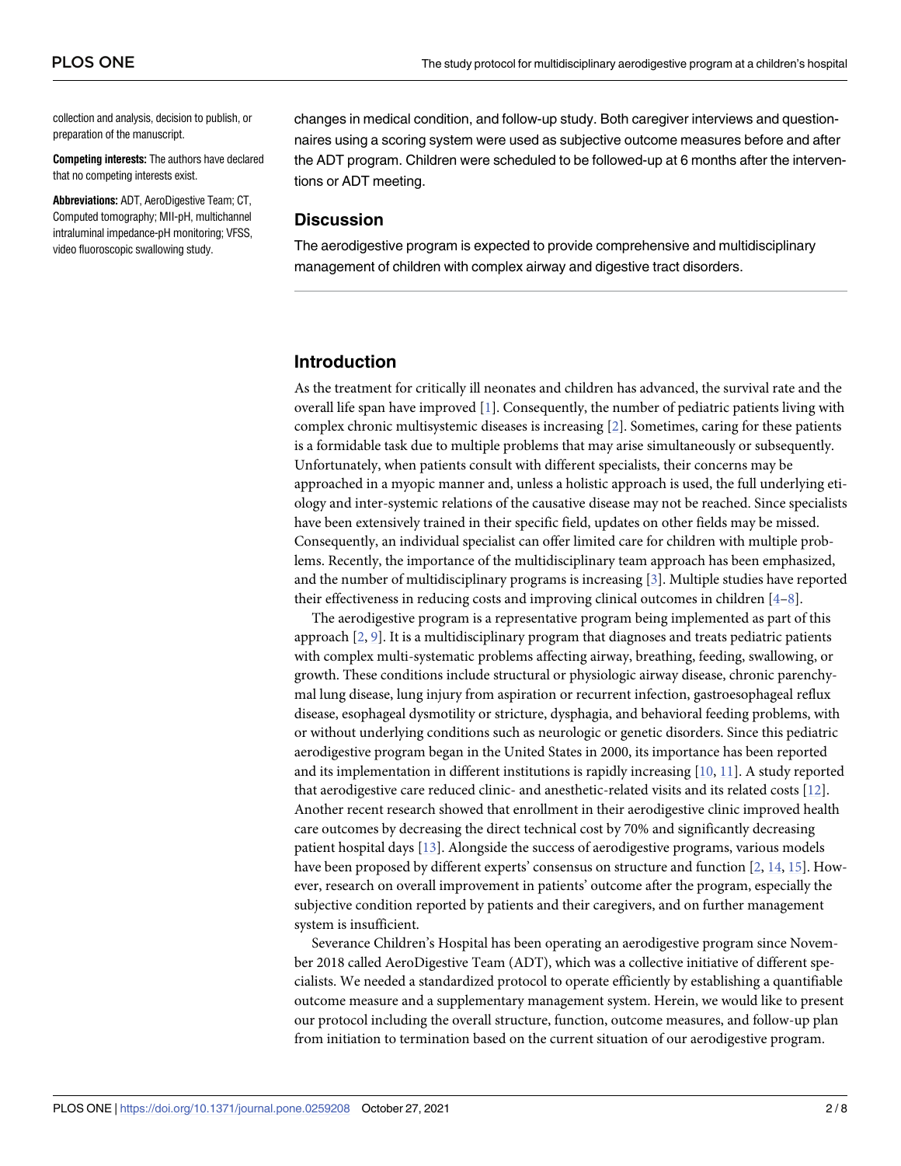<span id="page-1-0"></span>collection and analysis, decision to publish, or preparation of the manuscript.

**Competing interests:** The authors have declared that no competing interests exist.

**Abbreviations:** ADT, AeroDigestive Team; CT, Computed tomography; MII-pH, multichannel intraluminal impedance-pH monitoring; VFSS, video fluoroscopic swallowing study.

changes in medical condition, and follow-up study. Both caregiver interviews and questionnaires using a scoring system were used as subjective outcome measures before and after the ADT program. Children were scheduled to be followed-up at 6 months after the interventions or ADT meeting.

#### **Discussion**

The aerodigestive program is expected to provide comprehensive and multidisciplinary management of children with complex airway and digestive tract disorders.

#### **Introduction**

As the treatment for critically ill neonates and children has advanced, the survival rate and the overall life span have improved [\[1](#page-6-0)]. Consequently, the number of pediatric patients living with complex chronic multisystemic diseases is increasing [[2\]](#page-6-0). Sometimes, caring for these patients is a formidable task due to multiple problems that may arise simultaneously or subsequently. Unfortunately, when patients consult with different specialists, their concerns may be approached in a myopic manner and, unless a holistic approach is used, the full underlying etiology and inter-systemic relations of the causative disease may not be reached. Since specialists have been extensively trained in their specific field, updates on other fields may be missed. Consequently, an individual specialist can offer limited care for children with multiple problems. Recently, the importance of the multidisciplinary team approach has been emphasized, and the number of multidisciplinary programs is increasing [\[3](#page-6-0)]. Multiple studies have reported their effectiveness in reducing costs and improving clinical outcomes in children [[4](#page-6-0)–[8](#page-7-0)].

The aerodigestive program is a representative program being implemented as part of this approach [[2,](#page-6-0) [9\]](#page-7-0). It is a multidisciplinary program that diagnoses and treats pediatric patients with complex multi-systematic problems affecting airway, breathing, feeding, swallowing, or growth. These conditions include structural or physiologic airway disease, chronic parenchymal lung disease, lung injury from aspiration or recurrent infection, gastroesophageal reflux disease, esophageal dysmotility or stricture, dysphagia, and behavioral feeding problems, with or without underlying conditions such as neurologic or genetic disorders. Since this pediatric aerodigestive program began in the United States in 2000, its importance has been reported and its implementation in different institutions is rapidly increasing [\[10,](#page-7-0) [11\]](#page-7-0). A study reported that aerodigestive care reduced clinic- and anesthetic-related visits and its related costs [[12](#page-7-0)]. Another recent research showed that enrollment in their aerodigestive clinic improved health care outcomes by decreasing the direct technical cost by 70% and significantly decreasing patient hospital days [\[13\]](#page-7-0). Alongside the success of aerodigestive programs, various models have been proposed by different experts' consensus on structure and function [[2](#page-6-0), [14](#page-7-0), [15](#page-7-0)]. However, research on overall improvement in patients' outcome after the program, especially the subjective condition reported by patients and their caregivers, and on further management system is insufficient.

Severance Children's Hospital has been operating an aerodigestive program since November 2018 called AeroDigestive Team (ADT), which was a collective initiative of different specialists. We needed a standardized protocol to operate efficiently by establishing a quantifiable outcome measure and a supplementary management system. Herein, we would like to present our protocol including the overall structure, function, outcome measures, and follow-up plan from initiation to termination based on the current situation of our aerodigestive program.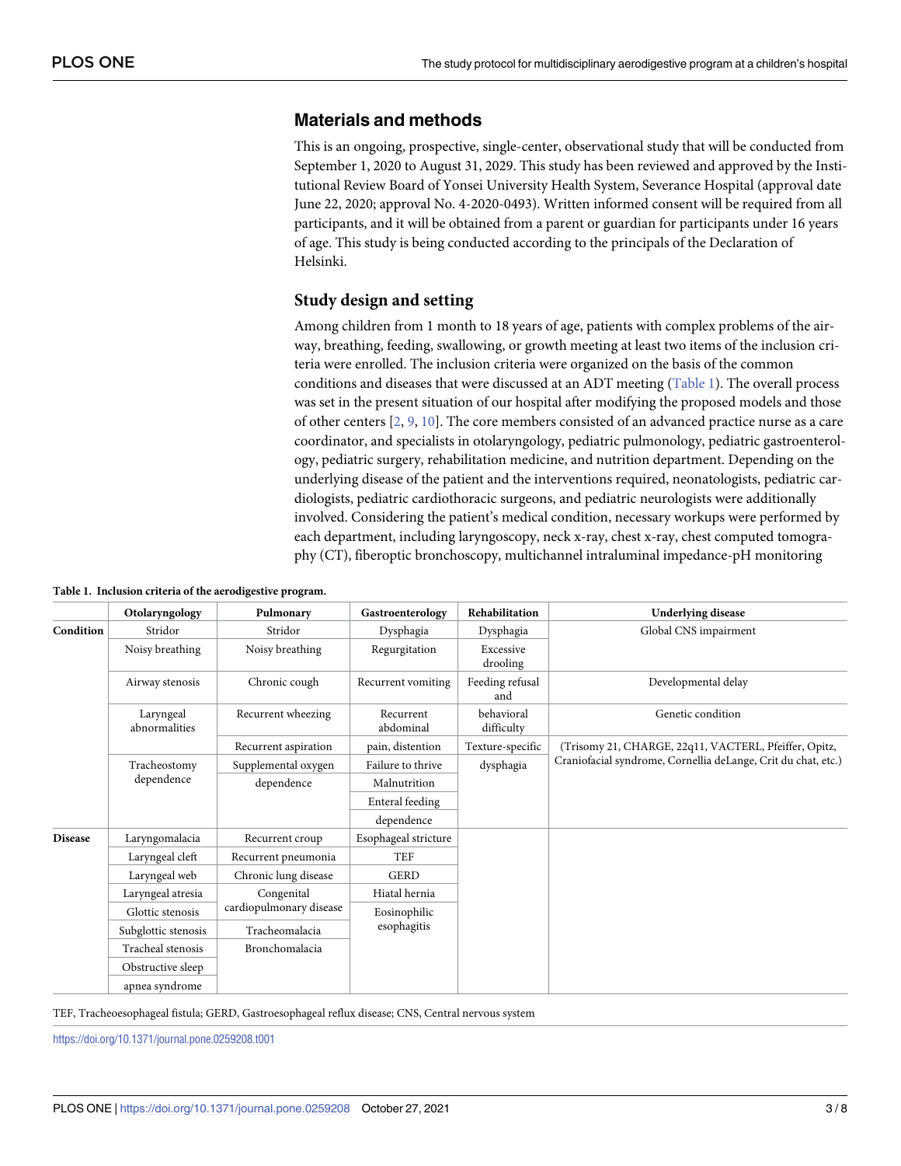#### **Materials and methods**

This is an ongoing, prospective, single-center, observational study that will be conducted from September 1, 2020 to August 31, 2029. This study has been reviewed and approved by the Institutional Review Board of Yonsei University Health System, Severance Hospital (approval date June 22, 2020; approval No. 4-2020-0493). Written informed consent will be required from all participants, and it will be obtained from a parent or guardian for participants under 16 years of age. This study is being conducted according to the principals of the Declaration of Helsinki.

#### **Study design and setting**

Among children from 1 month to 18 years of age, patients with complex problems of the airway, breathing, feeding, swallowing, or growth meeting at least two items of the inclusion criteria were enrolled. The inclusion criteria were organized on the basis of the common conditions and diseases that were discussed at an ADT meeting (Table 1). The overall process was set in the present situation of our hospital after modifying the proposed models and those of other centers [[2](#page-6-0), [9,](#page-7-0) [10\]](#page-7-0). The core members consisted of an advanced practice nurse as a care coordinator, and specialists in otolaryngology, pediatric pulmonology, pediatric gastroenterology, pediatric surgery, rehabilitation medicine, and nutrition department. Depending on the underlying disease of the patient and the interventions required, neonatologists, pediatric cardiologists, pediatric cardiothoracic surgeons, and pediatric neurologists were additionally involved. Considering the patient's medical condition, necessary workups were performed by each department, including laryngoscopy, neck x-ray, chest x-ray, chest computed tomography (CT), fiberoptic bronchoscopy, multichannel intraluminal impedance-pH monitoring

|                | Otolaryngology             | Pulmonary                             | Gastroenterology            | Rehabilitation           | <b>Underlying disease</b>                                     |
|----------------|----------------------------|---------------------------------------|-----------------------------|--------------------------|---------------------------------------------------------------|
| Condition      | Stridor                    | Stridor                               | Dysphagia                   | Dysphagia                | Global CNS impairment                                         |
|                | Noisy breathing            | Noisy breathing                       | Regurgitation               | Excessive<br>drooling    |                                                               |
|                | Airway stenosis            | Chronic cough                         | Recurrent vomiting          | Feeding refusal<br>and   | Developmental delay                                           |
|                | Laryngeal<br>abnormalities | Recurrent wheezing                    | Recurrent<br>abdominal      | behavioral<br>difficulty | Genetic condition                                             |
|                |                            | Recurrent aspiration                  | pain, distention            | Texture-specific         | (Trisomy 21, CHARGE, 22q11, VACTERL, Pfeiffer, Opitz,         |
|                | Tracheostomy<br>dependence | Supplemental oxygen                   | Failure to thrive           | dysphagia                | Craniofacial syndrome, Cornellia deLange, Crit du chat, etc.) |
|                |                            | dependence                            | Malnutrition                |                          |                                                               |
|                |                            |                                       | Enteral feeding             |                          |                                                               |
|                |                            |                                       | dependence                  |                          |                                                               |
| <b>Disease</b> | Laryngomalacia             | Recurrent croup                       | Esophageal stricture        |                          |                                                               |
|                | Laryngeal cleft            | Recurrent pneumonia                   | <b>TEF</b>                  |                          |                                                               |
|                | Laryngeal web              | Chronic lung disease                  | <b>GERD</b>                 |                          |                                                               |
|                | Laryngeal atresia          | Congenital<br>cardiopulmonary disease | Hiatal hernia               |                          |                                                               |
|                | Glottic stenosis           |                                       | Eosinophilic<br>esophagitis |                          |                                                               |
|                | Subglottic stenosis        | Tracheomalacia                        |                             |                          |                                                               |
|                | Tracheal stenosis          | Bronchomalacia                        |                             |                          |                                                               |
|                | Obstructive sleep          |                                       |                             |                          |                                                               |
|                | apnea syndrome             |                                       |                             |                          |                                                               |

**Table 1. Inclusion criteria of the aerodigestive program.**

TEF, Tracheoesophageal fistula; GERD, Gastroesophageal reflux disease; CNS, Central nervous system

<https://doi.org/10.1371/journal.pone.0259208.t001>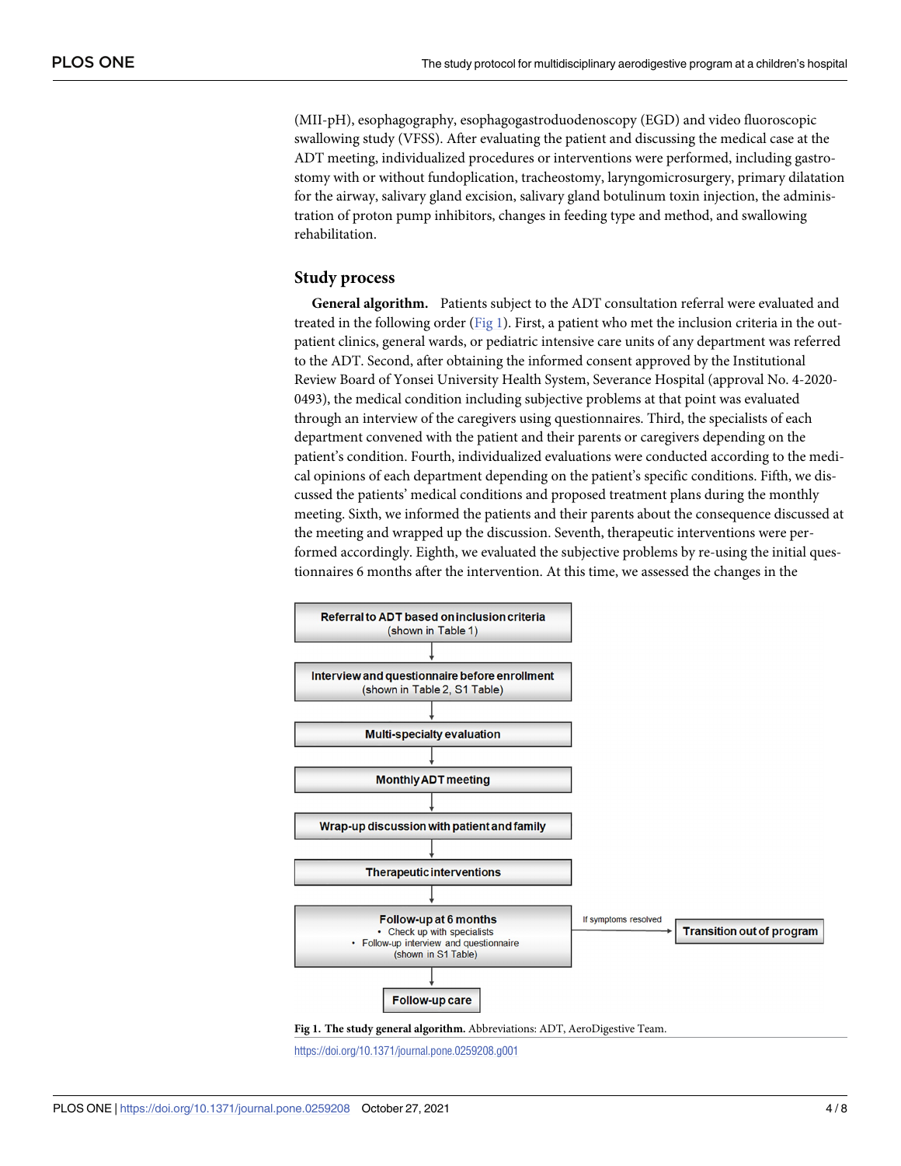(MII-pH), esophagography, esophagogastroduodenoscopy (EGD) and video fluoroscopic swallowing study (VFSS). After evaluating the patient and discussing the medical case at the ADT meeting, individualized procedures or interventions were performed, including gastrostomy with or without fundoplication, tracheostomy, laryngomicrosurgery, primary dilatation for the airway, salivary gland excision, salivary gland botulinum toxin injection, the administration of proton pump inhibitors, changes in feeding type and method, and swallowing rehabilitation.

#### **Study process**

**General algorithm.** Patients subject to the ADT consultation referral were evaluated and treated in the following order (Fig 1). First, a patient who met the inclusion criteria in the outpatient clinics, general wards, or pediatric intensive care units of any department was referred to the ADT. Second, after obtaining the informed consent approved by the Institutional Review Board of Yonsei University Health System, Severance Hospital (approval No. 4-2020- 0493), the medical condition including subjective problems at that point was evaluated through an interview of the caregivers using questionnaires. Third, the specialists of each department convened with the patient and their parents or caregivers depending on the patient's condition. Fourth, individualized evaluations were conducted according to the medical opinions of each department depending on the patient's specific conditions. Fifth, we discussed the patients' medical conditions and proposed treatment plans during the monthly meeting. Sixth, we informed the patients and their parents about the consequence discussed at the meeting and wrapped up the discussion. Seventh, therapeutic interventions were performed accordingly. Eighth, we evaluated the subjective problems by re-using the initial questionnaires 6 months after the intervention. At this time, we assessed the changes in the





<https://doi.org/10.1371/journal.pone.0259208.g001>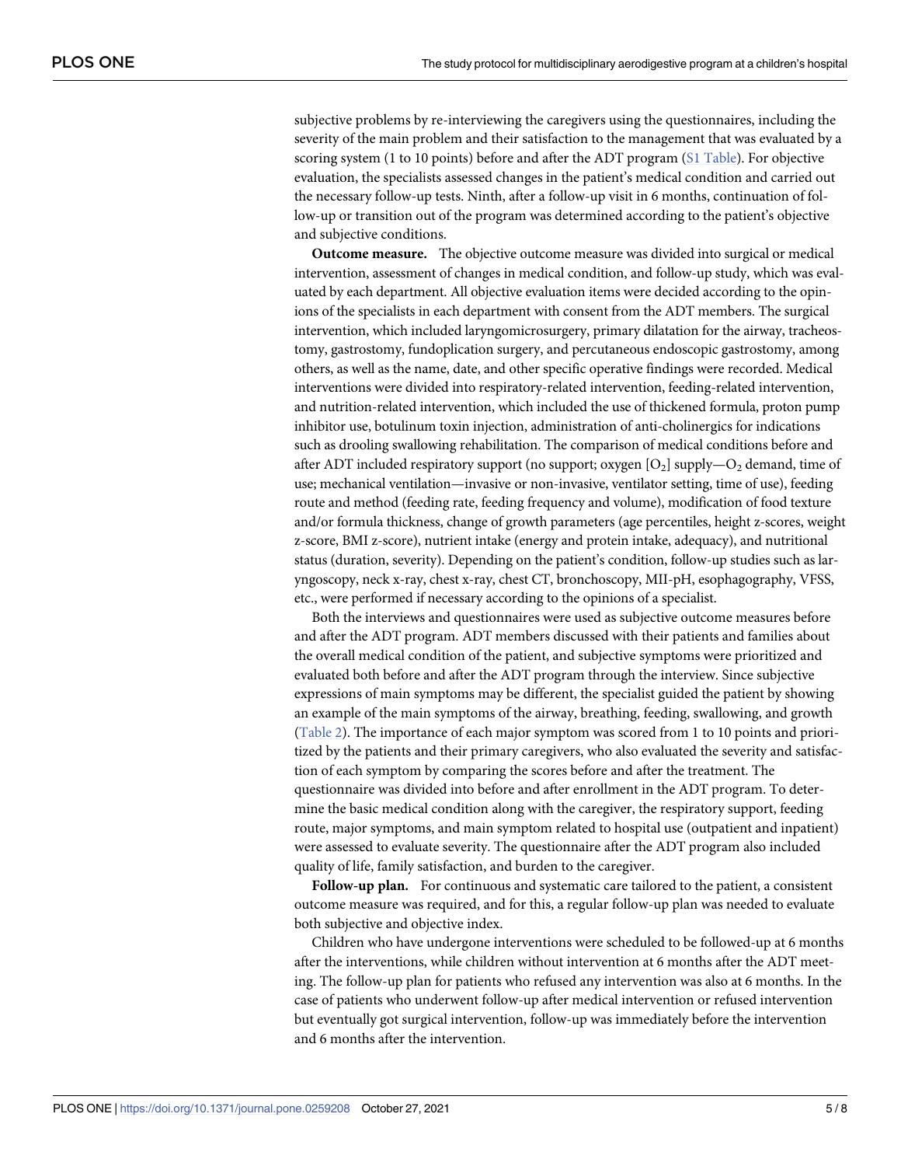<span id="page-4-0"></span>subjective problems by re-interviewing the caregivers using the questionnaires, including the severity of the main problem and their satisfaction to the management that was evaluated by a scoring system (1 to 10 points) before and after the ADT program (S1 [Table\)](#page-6-0). For objective evaluation, the specialists assessed changes in the patient's medical condition and carried out the necessary follow-up tests. Ninth, after a follow-up visit in 6 months, continuation of follow-up or transition out of the program was determined according to the patient's objective and subjective conditions.

**Outcome measure.** The objective outcome measure was divided into surgical or medical intervention, assessment of changes in medical condition, and follow-up study, which was evaluated by each department. All objective evaluation items were decided according to the opinions of the specialists in each department with consent from the ADT members. The surgical intervention, which included laryngomicrosurgery, primary dilatation for the airway, tracheostomy, gastrostomy, fundoplication surgery, and percutaneous endoscopic gastrostomy, among others, as well as the name, date, and other specific operative findings were recorded. Medical interventions were divided into respiratory-related intervention, feeding-related intervention, and nutrition-related intervention, which included the use of thickened formula, proton pump inhibitor use, botulinum toxin injection, administration of anti-cholinergics for indications such as drooling swallowing rehabilitation. The comparison of medical conditions before and after ADT included respiratory support (no support; oxygen  $[O_2]$  supply—O<sub>2</sub> demand, time of use; mechanical ventilation—invasive or non-invasive, ventilator setting, time of use), feeding route and method (feeding rate, feeding frequency and volume), modification of food texture and/or formula thickness, change of growth parameters (age percentiles, height z-scores, weight z-score, BMI z-score), nutrient intake (energy and protein intake, adequacy), and nutritional status (duration, severity). Depending on the patient's condition, follow-up studies such as laryngoscopy, neck x-ray, chest x-ray, chest CT, bronchoscopy, MII-pH, esophagography, VFSS, etc., were performed if necessary according to the opinions of a specialist.

Both the interviews and questionnaires were used as subjective outcome measures before and after the ADT program. ADT members discussed with their patients and families about the overall medical condition of the patient, and subjective symptoms were prioritized and evaluated both before and after the ADT program through the interview. Since subjective expressions of main symptoms may be different, the specialist guided the patient by showing an example of the main symptoms of the airway, breathing, feeding, swallowing, and growth [\(Table](#page-5-0) 2). The importance of each major symptom was scored from 1 to 10 points and prioritized by the patients and their primary caregivers, who also evaluated the severity and satisfaction of each symptom by comparing the scores before and after the treatment. The questionnaire was divided into before and after enrollment in the ADT program. To determine the basic medical condition along with the caregiver, the respiratory support, feeding route, major symptoms, and main symptom related to hospital use (outpatient and inpatient) were assessed to evaluate severity. The questionnaire after the ADT program also included quality of life, family satisfaction, and burden to the caregiver.

**Follow-up plan.** For continuous and systematic care tailored to the patient, a consistent outcome measure was required, and for this, a regular follow-up plan was needed to evaluate both subjective and objective index.

Children who have undergone interventions were scheduled to be followed-up at 6 months after the interventions, while children without intervention at 6 months after the ADT meeting. The follow-up plan for patients who refused any intervention was also at 6 months. In the case of patients who underwent follow-up after medical intervention or refused intervention but eventually got surgical intervention, follow-up was immediately before the intervention and 6 months after the intervention.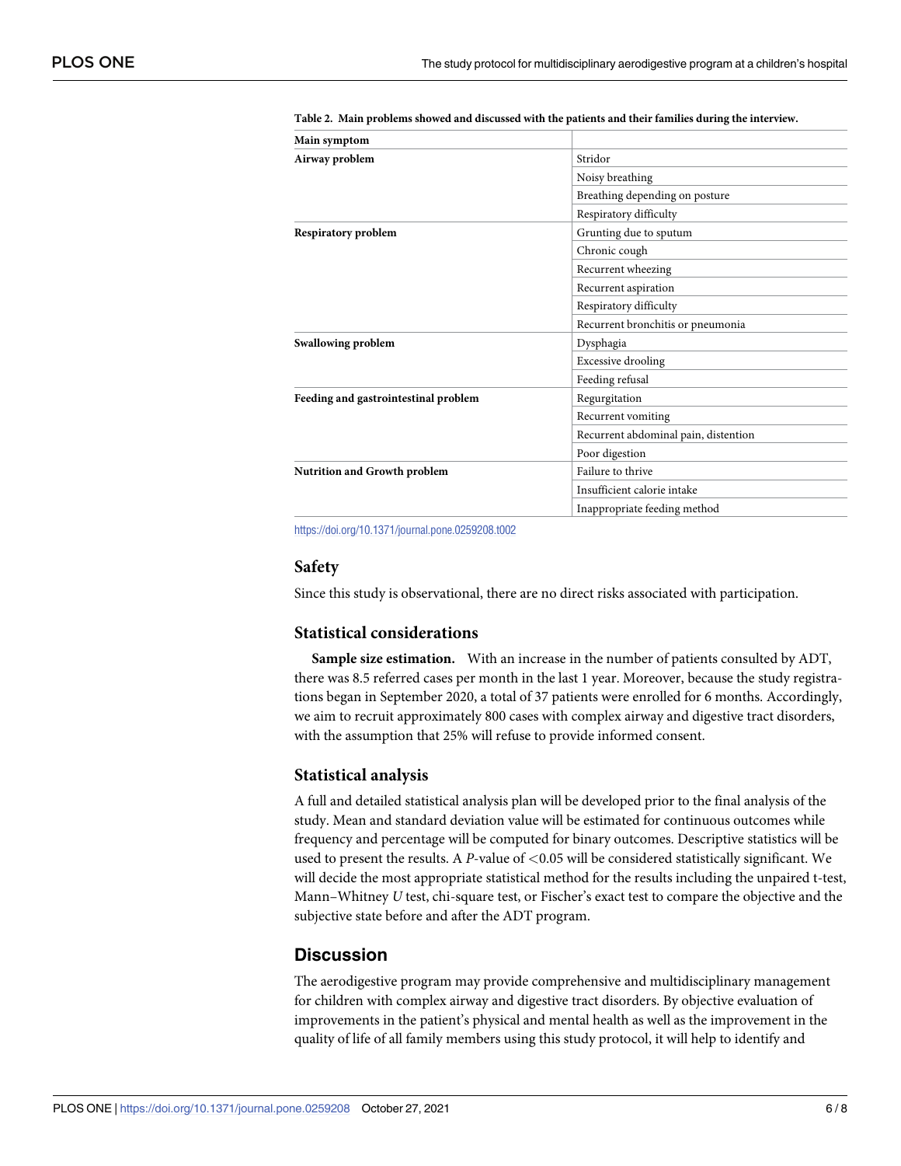| <b>Main symptom</b>                  |                                                                                                           |  |  |
|--------------------------------------|-----------------------------------------------------------------------------------------------------------|--|--|
| Airway problem                       | Stridor                                                                                                   |  |  |
|                                      | Noisy breathing<br>Breathing depending on posture                                                         |  |  |
|                                      |                                                                                                           |  |  |
|                                      | Respiratory difficulty                                                                                    |  |  |
| Respiratory problem                  | Grunting due to sputum                                                                                    |  |  |
|                                      | Chronic cough                                                                                             |  |  |
|                                      | Recurrent wheezing<br>Recurrent aspiration<br>Respiratory difficulty<br>Recurrent bronchitis or pneumonia |  |  |
|                                      |                                                                                                           |  |  |
|                                      |                                                                                                           |  |  |
|                                      |                                                                                                           |  |  |
| Swallowing problem                   | Dysphagia                                                                                                 |  |  |
|                                      | <b>Excessive drooling</b>                                                                                 |  |  |
|                                      | Feeding refusal                                                                                           |  |  |
| Feeding and gastrointestinal problem | Regurgitation                                                                                             |  |  |
|                                      | Recurrent vomiting                                                                                        |  |  |
|                                      | Recurrent abdominal pain, distention                                                                      |  |  |
|                                      | Poor digestion                                                                                            |  |  |
| <b>Nutrition and Growth problem</b>  | Failure to thrive                                                                                         |  |  |
|                                      | Insufficient calorie intake                                                                               |  |  |
|                                      | Inappropriate feeding method                                                                              |  |  |

<span id="page-5-0"></span>**[Table](#page-4-0) 2. Main problems showed and discussed with the patients and their families during the interview.**

<https://doi.org/10.1371/journal.pone.0259208.t002>

#### **Safety**

Since this study is observational, there are no direct risks associated with participation.

#### **Statistical considerations**

**Sample size estimation.** With an increase in the number of patients consulted by ADT, there was 8.5 referred cases per month in the last 1 year. Moreover, because the study registrations began in September 2020, a total of 37 patients were enrolled for 6 months. Accordingly, we aim to recruit approximately 800 cases with complex airway and digestive tract disorders, with the assumption that 25% will refuse to provide informed consent.

#### **Statistical analysis**

A full and detailed statistical analysis plan will be developed prior to the final analysis of the study. Mean and standard deviation value will be estimated for continuous outcomes while frequency and percentage will be computed for binary outcomes. Descriptive statistics will be used to present the results. A *P*-value of *<*0.05 will be considered statistically significant. We will decide the most appropriate statistical method for the results including the unpaired t-test, Mann–Whitney *U* test, chi-square test, or Fischer's exact test to compare the objective and the subjective state before and after the ADT program.

#### **Discussion**

The aerodigestive program may provide comprehensive and multidisciplinary management for children with complex airway and digestive tract disorders. By objective evaluation of improvements in the patient's physical and mental health as well as the improvement in the quality of life of all family members using this study protocol, it will help to identify and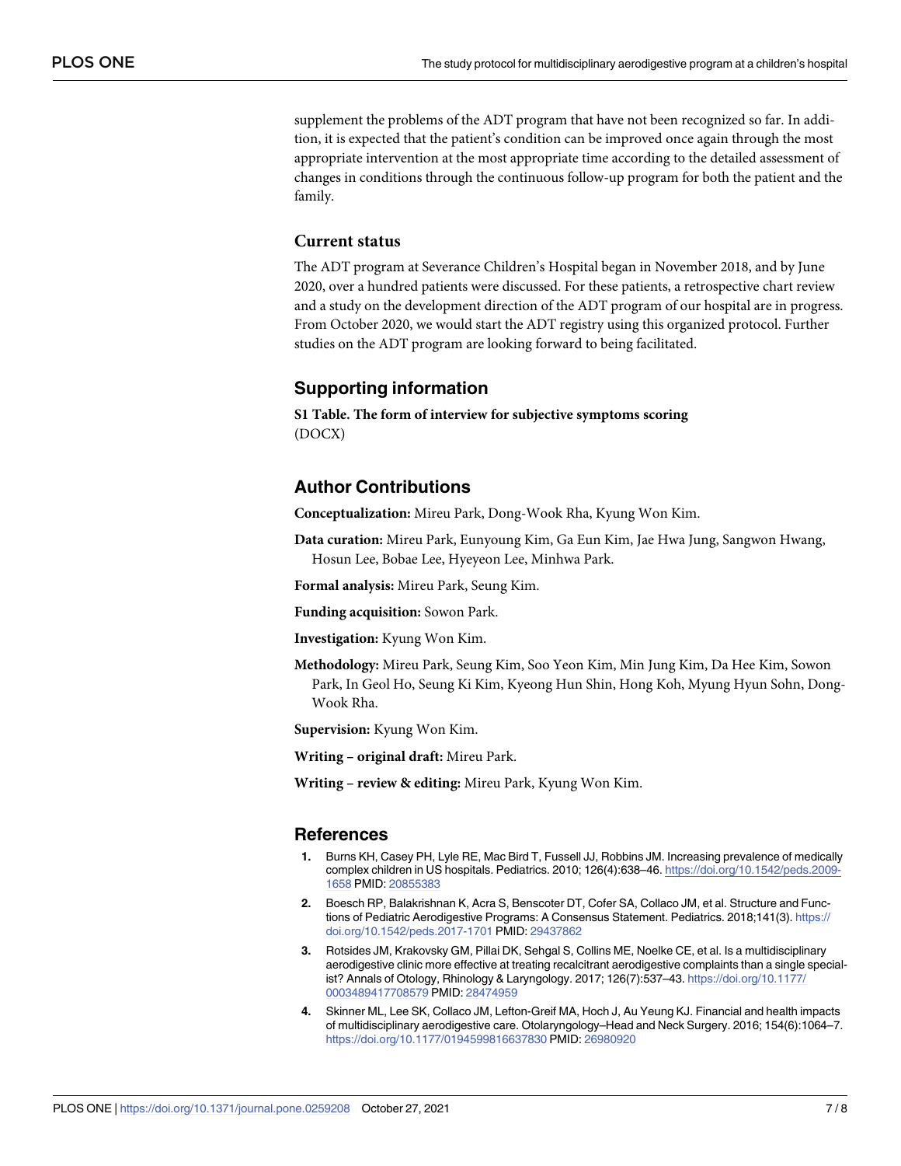<span id="page-6-0"></span>supplement the problems of the ADT program that have not been recognized so far. In addition, it is expected that the patient's condition can be improved once again through the most appropriate intervention at the most appropriate time according to the detailed assessment of changes in conditions through the continuous follow-up program for both the patient and the family.

#### **Current status**

The ADT program at Severance Children's Hospital began in November 2018, and by June 2020, over a hundred patients were discussed. For these patients, a retrospective chart review and a study on the development direction of the ADT program of our hospital are in progress. From October 2020, we would start the ADT registry using this organized protocol. Further studies on the ADT program are looking forward to being facilitated.

#### **Supporting information**

**S1 [Table.](http://www.plosone.org/article/fetchSingleRepresentation.action?uri=info:doi/10.1371/journal.pone.0259208.s001) The form of interview for subjective symptoms scoring** (DOCX)

#### **Author Contributions**

**Conceptualization:** Mireu Park, Dong-Wook Rha, Kyung Won Kim.

**Data curation:** Mireu Park, Eunyoung Kim, Ga Eun Kim, Jae Hwa Jung, Sangwon Hwang, Hosun Lee, Bobae Lee, Hyeyeon Lee, Minhwa Park.

**Formal analysis:** Mireu Park, Seung Kim.

**Funding acquisition:** Sowon Park.

**Investigation:** Kyung Won Kim.

**Methodology:** Mireu Park, Seung Kim, Soo Yeon Kim, Min Jung Kim, Da Hee Kim, Sowon Park, In Geol Ho, Seung Ki Kim, Kyeong Hun Shin, Hong Koh, Myung Hyun Sohn, Dong-Wook Rha.

**Supervision:** Kyung Won Kim.

**Writing – original draft:** Mireu Park.

**Writing – review & editing:** Mireu Park, Kyung Won Kim.

#### **References**

- **[1](#page-1-0).** Burns KH, Casey PH, Lyle RE, Mac Bird T, Fussell JJ, Robbins JM. Increasing prevalence of medically complex children in US hospitals. Pediatrics. 2010; 126(4):638–46. [https://doi.org/10.1542/peds.2009-](https://doi.org/10.1542/peds.2009-1658) [1658](https://doi.org/10.1542/peds.2009-1658) PMID: [20855383](http://www.ncbi.nlm.nih.gov/pubmed/20855383)
- **[2](#page-1-0).** Boesch RP, Balakrishnan K, Acra S, Benscoter DT, Cofer SA, Collaco JM, et al. Structure and Functions of Pediatric Aerodigestive Programs: A Consensus Statement. Pediatrics. 2018;141(3). [https://](https://doi.org/10.1542/peds.2017-1701) [doi.org/10.1542/peds.2017-1701](https://doi.org/10.1542/peds.2017-1701) PMID: [29437862](http://www.ncbi.nlm.nih.gov/pubmed/29437862)
- **[3](#page-1-0).** Rotsides JM, Krakovsky GM, Pillai DK, Sehgal S, Collins ME, Noelke CE, et al. Is a multidisciplinary aerodigestive clinic more effective at treating recalcitrant aerodigestive complaints than a single specialist? Annals of Otology, Rhinology & Laryngology. 2017; 126(7):537–43. [https://doi.org/10.1177/](https://doi.org/10.1177/0003489417708579) [0003489417708579](https://doi.org/10.1177/0003489417708579) PMID: [28474959](http://www.ncbi.nlm.nih.gov/pubmed/28474959)
- **[4](#page-1-0).** Skinner ML, Lee SK, Collaco JM, Lefton-Greif MA, Hoch J, Au Yeung KJ. Financial and health impacts of multidisciplinary aerodigestive care. Otolaryngology–Head and Neck Surgery. 2016; 154(6):1064–7. <https://doi.org/10.1177/0194599816637830> PMID: [26980920](http://www.ncbi.nlm.nih.gov/pubmed/26980920)